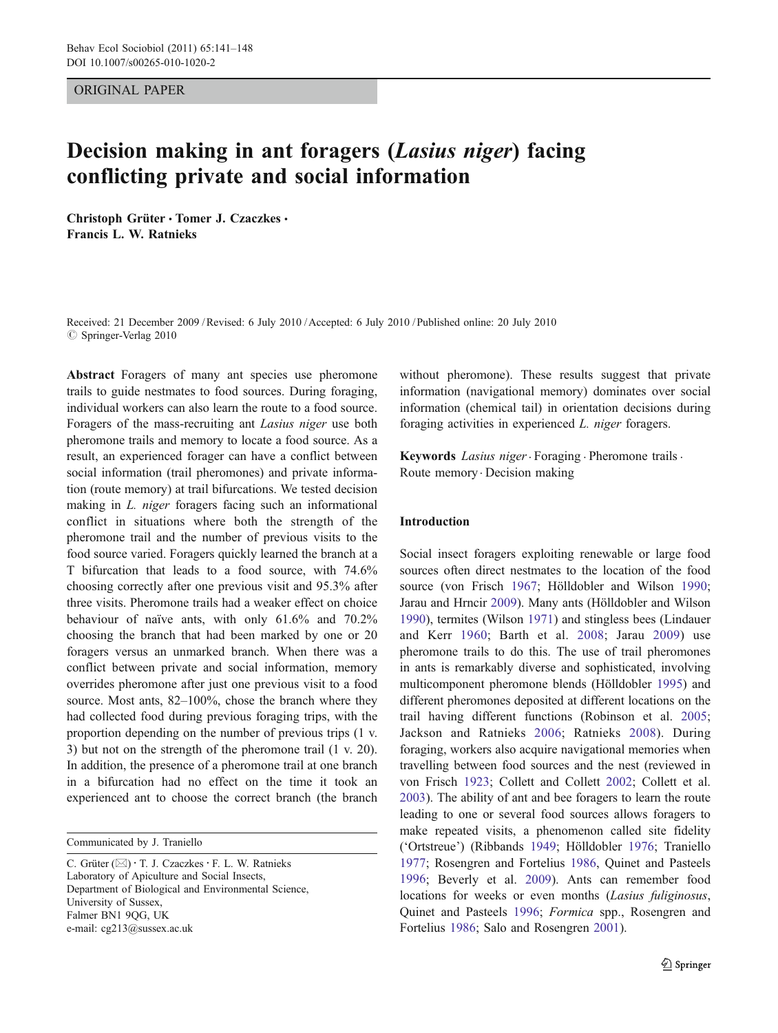#### ORIGINAL PAPER

# Decision making in ant foragers (Lasius niger) facing conflicting private and social information

Christoph Grüter · Tomer J. Czaczkes · Francis L. W. Ratnieks

Received: 21 December 2009 /Revised: 6 July 2010 /Accepted: 6 July 2010 / Published online: 20 July 2010  $\circ$  Springer-Verlag 2010

Abstract Foragers of many ant species use pheromone trails to guide nestmates to food sources. During foraging, individual workers can also learn the route to a food source. Foragers of the mass-recruiting ant Lasius niger use both pheromone trails and memory to locate a food source. As a result, an experienced forager can have a conflict between social information (trail pheromones) and private information (route memory) at trail bifurcations. We tested decision making in *L. niger* foragers facing such an informational conflict in situations where both the strength of the pheromone trail and the number of previous visits to the food source varied. Foragers quickly learned the branch at a T bifurcation that leads to a food source, with 74.6% choosing correctly after one previous visit and 95.3% after three visits. Pheromone trails had a weaker effect on choice behaviour of naïve ants, with only 61.6% and 70.2% choosing the branch that had been marked by one or 20 foragers versus an unmarked branch. When there was a conflict between private and social information, memory overrides pheromone after just one previous visit to a food source. Most ants, 82–100%, chose the branch where they had collected food during previous foraging trips, with the proportion depending on the number of previous trips (1 v. 3) but not on the strength of the pheromone trail (1 v. 20). In addition, the presence of a pheromone trail at one branch in a bifurcation had no effect on the time it took an experienced ant to choose the correct branch (the branch

Communicated by J. Traniello

C. Grüter ( $\boxtimes$ ) · T. J. Czaczkes · F. L. W. Ratnieks Laboratory of Apiculture and Social Insects, Department of Biological and Environmental Science, University of Sussex, Falmer BN1 9QG, UK e-mail: cg213@sussex.ac.uk

without pheromone). These results suggest that private information (navigational memory) dominates over social information (chemical tail) in orientation decisions during foraging activities in experienced L. niger foragers.

Keywords Lasius niger. Foraging . Pheromone trails. Route memory. Decision making

# Introduction

Social insect foragers exploiting renewable or large food sources often direct nestmates to the location of the food source (von Frisch [1967](#page-7-0); Hölldobler and Wilson [1990;](#page-7-0) Jarau and Hrncir [2009\)](#page-7-0). Many ants (Hölldobler and Wilson [1990](#page-7-0)), termites (Wilson [1971](#page-7-0)) and stingless bees (Lindauer and Kerr [1960](#page-7-0); Barth et al. [2008;](#page-6-0) Jarau [2009\)](#page-7-0) use pheromone trails to do this. The use of trail pheromones in ants is remarkably diverse and sophisticated, involving multicomponent pheromone blends (Hölldobler [1995\)](#page-7-0) and different pheromones deposited at different locations on the trail having different functions (Robinson et al. [2005;](#page-7-0) Jackson and Ratnieks [2006](#page-7-0); Ratnieks [2008\)](#page-7-0). During foraging, workers also acquire navigational memories when travelling between food sources and the nest (reviewed in von Frisch [1923;](#page-7-0) Collett and Collett [2002](#page-7-0); Collett et al. [2003](#page-7-0)). The ability of ant and bee foragers to learn the route leading to one or several food sources allows foragers to make repeated visits, a phenomenon called site fidelity ('Ortstreue') (Ribbands [1949;](#page-7-0) Hölldobler [1976](#page-7-0); Traniello [1977](#page-7-0); Rosengren and Fortelius [1986,](#page-7-0) Quinet and Pasteels [1996](#page-7-0); Beverly et al. [2009](#page-6-0)). Ants can remember food locations for weeks or even months (Lasius fuliginosus, Quinet and Pasteels [1996](#page-7-0); Formica spp., Rosengren and Fortelius [1986](#page-7-0); Salo and Rosengren [2001\)](#page-7-0).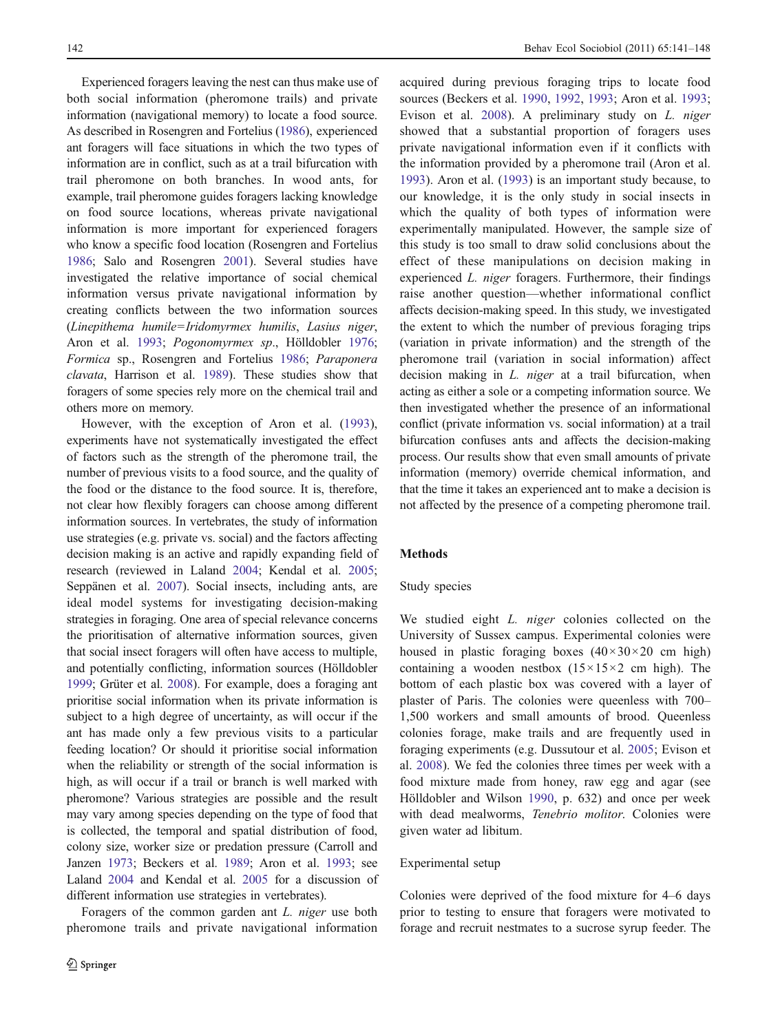Experienced foragers leaving the nest can thus make use of both social information (pheromone trails) and private information (navigational memory) to locate a food source. As described in Rosengren and Fortelius [\(1986\)](#page-7-0), experienced ant foragers will face situations in which the two types of information are in conflict, such as at a trail bifurcation with trail pheromone on both branches. In wood ants, for example, trail pheromone guides foragers lacking knowledge on food source locations, whereas private navigational information is more important for experienced foragers who know a specific food location (Rosengren and Fortelius [1986;](#page-7-0) Salo and Rosengren [2001\)](#page-7-0). Several studies have investigated the relative importance of social chemical information versus private navigational information by creating conflicts between the two information sources (Linepithema humile=Iridomyrmex humilis, Lasius niger, Aron et al. [1993](#page-6-0); Pogonomyrmex sp., Hölldobler [1976](#page-7-0); Formica sp., Rosengren and Fortelius [1986;](#page-7-0) Paraponera clavata, Harrison et al. [1989](#page-7-0)). These studies show that foragers of some species rely more on the chemical trail and others more on memory.

However, with the exception of Aron et al. [\(1993](#page-6-0)), experiments have not systematically investigated the effect of factors such as the strength of the pheromone trail, the number of previous visits to a food source, and the quality of the food or the distance to the food source. It is, therefore, not clear how flexibly foragers can choose among different information sources. In vertebrates, the study of information use strategies (e.g. private vs. social) and the factors affecting decision making is an active and rapidly expanding field of research (reviewed in Laland [2004;](#page-7-0) Kendal et al. [2005](#page-7-0); Seppänen et al. [2007\)](#page-7-0). Social insects, including ants, are ideal model systems for investigating decision-making strategies in foraging. One area of special relevance concerns the prioritisation of alternative information sources, given that social insect foragers will often have access to multiple, and potentially conflicting, information sources (Hölldobler [1999;](#page-7-0) Grüter et al. [2008\)](#page-7-0). For example, does a foraging ant prioritise social information when its private information is subject to a high degree of uncertainty, as will occur if the ant has made only a few previous visits to a particular feeding location? Or should it prioritise social information when the reliability or strength of the social information is high, as will occur if a trail or branch is well marked with pheromone? Various strategies are possible and the result may vary among species depending on the type of food that is collected, the temporal and spatial distribution of food, colony size, worker size or predation pressure (Carroll and Janzen [1973;](#page-7-0) Beckers et al. [1989](#page-6-0); Aron et al. [1993](#page-6-0); see Laland [2004](#page-7-0) and Kendal et al. [2005](#page-7-0) for a discussion of different information use strategies in vertebrates).

Foragers of the common garden ant L. niger use both pheromone trails and private navigational information

acquired during previous foraging trips to locate food sources (Beckers et al. [1990](#page-6-0), [1992,](#page-6-0) [1993](#page-6-0); Aron et al. [1993;](#page-6-0) Evison et al. [2008\)](#page-7-0). A preliminary study on L. niger showed that a substantial proportion of foragers uses private navigational information even if it conflicts with the information provided by a pheromone trail (Aron et al. [1993](#page-6-0)). Aron et al. ([1993\)](#page-6-0) is an important study because, to our knowledge, it is the only study in social insects in which the quality of both types of information were experimentally manipulated. However, the sample size of this study is too small to draw solid conclusions about the effect of these manipulations on decision making in experienced L. niger foragers. Furthermore, their findings raise another question—whether informational conflict affects decision-making speed. In this study, we investigated the extent to which the number of previous foraging trips (variation in private information) and the strength of the pheromone trail (variation in social information) affect decision making in *L. niger* at a trail bifurcation, when acting as either a sole or a competing information source. We then investigated whether the presence of an informational conflict (private information vs. social information) at a trail bifurcation confuses ants and affects the decision-making process. Our results show that even small amounts of private information (memory) override chemical information, and that the time it takes an experienced ant to make a decision is not affected by the presence of a competing pheromone trail.

# Methods

#### Study species

We studied eight *L. niger* colonies collected on the University of Sussex campus. Experimental colonies were housed in plastic foraging boxes  $(40 \times 30 \times 20$  cm high) containing a wooden nestbox  $(15 \times 15 \times 2$  cm high). The bottom of each plastic box was covered with a layer of plaster of Paris. The colonies were queenless with 700– 1,500 workers and small amounts of brood. Queenless colonies forage, make trails and are frequently used in foraging experiments (e.g. Dussutour et al. [2005;](#page-7-0) Evison et al. [2008\)](#page-7-0). We fed the colonies three times per week with a food mixture made from honey, raw egg and agar (see Hölldobler and Wilson [1990](#page-7-0), p. 632) and once per week with dead mealworms, Tenebrio molitor. Colonies were given water ad libitum.

#### Experimental setup

Colonies were deprived of the food mixture for 4–6 days prior to testing to ensure that foragers were motivated to forage and recruit nestmates to a sucrose syrup feeder. The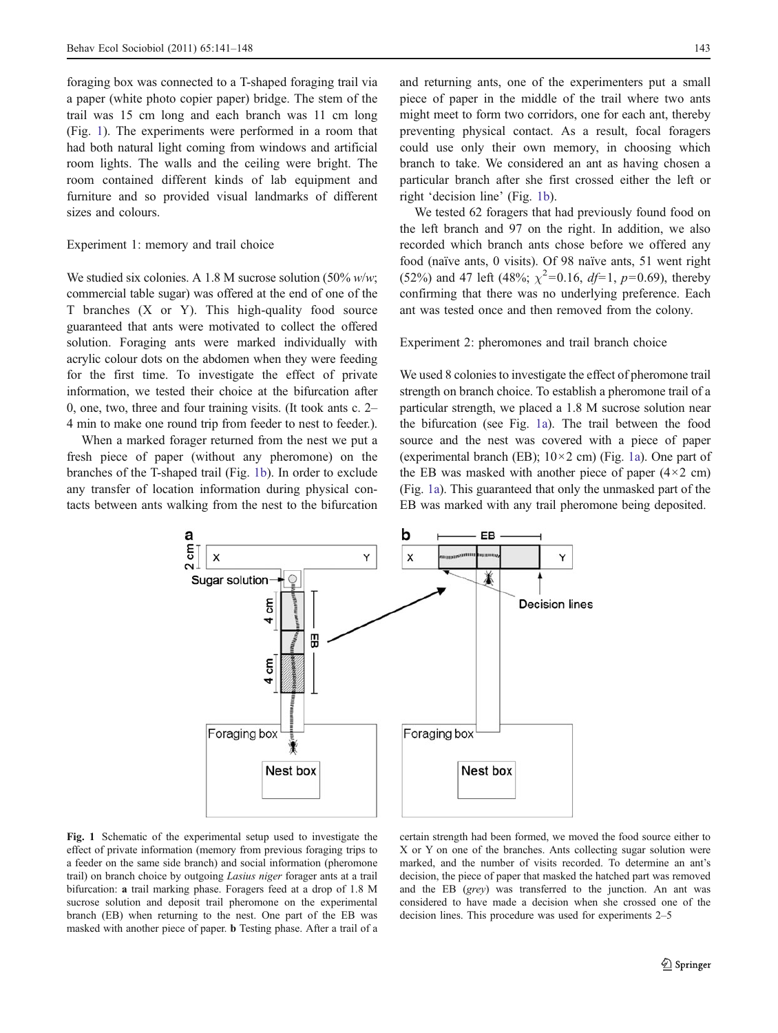<span id="page-2-0"></span>foraging box was connected to a T-shaped foraging trail via a paper (white photo copier paper) bridge. The stem of the trail was 15 cm long and each branch was 11 cm long (Fig. 1). The experiments were performed in a room that had both natural light coming from windows and artificial room lights. The walls and the ceiling were bright. The room contained different kinds of lab equipment and furniture and so provided visual landmarks of different sizes and colours.

# Experiment 1: memory and trail choice

We studied six colonies. A 1.8 M sucrose solution  $(50\% w/w)$ ; commercial table sugar) was offered at the end of one of the T branches (X or Y). This high-quality food source guaranteed that ants were motivated to collect the offered solution. Foraging ants were marked individually with acrylic colour dots on the abdomen when they were feeding for the first time. To investigate the effect of private information, we tested their choice at the bifurcation after 0, one, two, three and four training visits. (It took ants c. 2– 4 min to make one round trip from feeder to nest to feeder.).

When a marked forager returned from the nest we put a fresh piece of paper (without any pheromone) on the branches of the T-shaped trail (Fig. 1b). In order to exclude any transfer of location information during physical contacts between ants walking from the nest to the bifurcation

and returning ants, one of the experimenters put a small piece of paper in the middle of the trail where two ants might meet to form two corridors, one for each ant, thereby preventing physical contact. As a result, focal foragers could use only their own memory, in choosing which branch to take. We considered an ant as having chosen a particular branch after she first crossed either the left or right 'decision line' (Fig. 1b).

We tested 62 foragers that had previously found food on the left branch and 97 on the right. In addition, we also recorded which branch ants chose before we offered any food (naïve ants, 0 visits). Of 98 naïve ants, 51 went right (52%) and 47 left (48%;  $\chi^2$ =0.16, df=1, p=0.69), thereby confirming that there was no underlying preference. Each ant was tested once and then removed from the colony.

Experiment 2: pheromones and trail branch choice

We used 8 colonies to investigate the effect of pheromone trail strength on branch choice. To establish a pheromone trail of a particular strength, we placed a 1.8 M sucrose solution near the bifurcation (see Fig. 1a). The trail between the food source and the nest was covered with a piece of paper (experimental branch (EB);  $10 \times 2$  cm) (Fig. 1a). One part of the EB was masked with another piece of paper  $(4 \times 2 \text{ cm})$ (Fig. 1a). This guaranteed that only the unmasked part of the EB was marked with any trail pheromone being deposited.



Fig. 1 Schematic of the experimental setup used to investigate the effect of private information (memory from previous foraging trips to a feeder on the same side branch) and social information (pheromone trail) on branch choice by outgoing Lasius niger forager ants at a trail bifurcation: a trail marking phase. Foragers feed at a drop of 1.8 M sucrose solution and deposit trail pheromone on the experimental branch (EB) when returning to the nest. One part of the EB was masked with another piece of paper. b Testing phase. After a trail of a

certain strength had been formed, we moved the food source either to X or Y on one of the branches. Ants collecting sugar solution were marked, and the number of visits recorded. To determine an ant's decision, the piece of paper that masked the hatched part was removed and the EB (grey) was transferred to the junction. An ant was considered to have made a decision when she crossed one of the decision lines. This procedure was used for experiments 2–5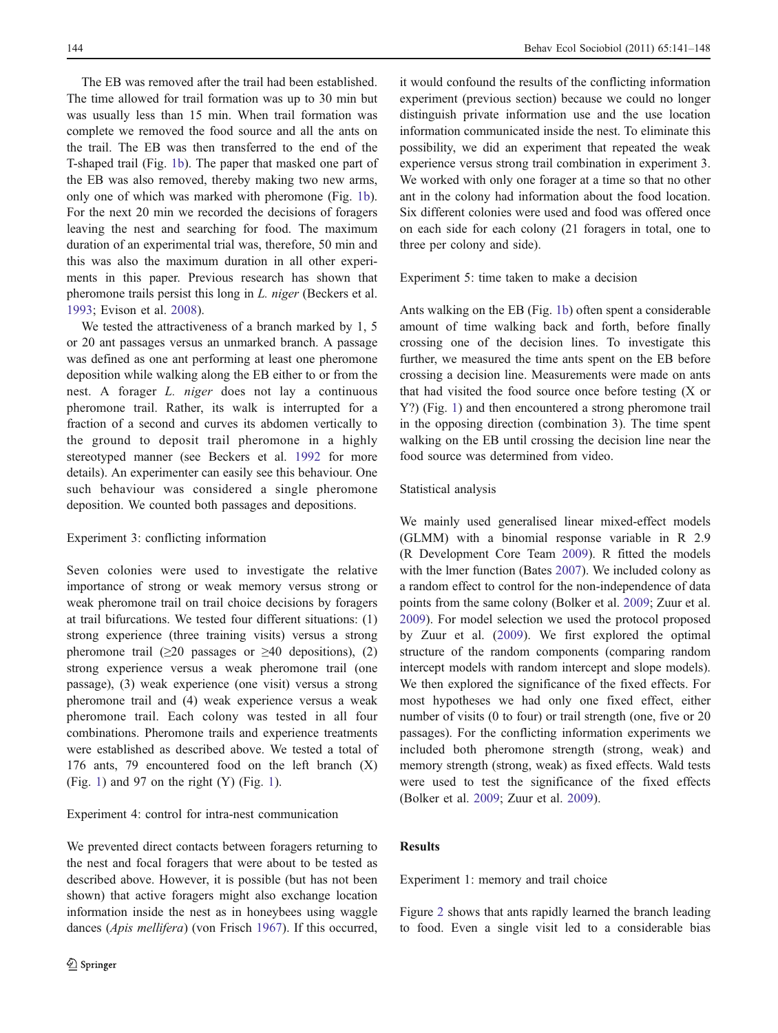The EB was removed after the trail had been established. The time allowed for trail formation was up to 30 min but was usually less than 15 min. When trail formation was complete we removed the food source and all the ants on the trail. The EB was then transferred to the end of the T-shaped trail (Fig. [1b](#page-2-0)). The paper that masked one part of the EB was also removed, thereby making two new arms, only one of which was marked with pheromone (Fig. [1b](#page-2-0)). For the next 20 min we recorded the decisions of foragers leaving the nest and searching for food. The maximum duration of an experimental trial was, therefore, 50 min and this was also the maximum duration in all other experiments in this paper. Previous research has shown that pheromone trails persist this long in L. niger (Beckers et al. [1993;](#page-6-0) Evison et al. [2008\)](#page-7-0).

We tested the attractiveness of a branch marked by 1, 5 or 20 ant passages versus an unmarked branch. A passage was defined as one ant performing at least one pheromone deposition while walking along the EB either to or from the nest. A forager L. niger does not lay a continuous pheromone trail. Rather, its walk is interrupted for a fraction of a second and curves its abdomen vertically to the ground to deposit trail pheromone in a highly stereotyped manner (see Beckers et al. [1992](#page-6-0) for more details). An experimenter can easily see this behaviour. One such behaviour was considered a single pheromone deposition. We counted both passages and depositions.

#### Experiment 3: conflicting information

Seven colonies were used to investigate the relative importance of strong or weak memory versus strong or weak pheromone trail on trail choice decisions by foragers at trail bifurcations. We tested four different situations: (1) strong experience (three training visits) versus a strong pheromone trail ( $\geq 20$  passages or  $\geq 40$  depositions), (2) strong experience versus a weak pheromone trail (one passage), (3) weak experience (one visit) versus a strong pheromone trail and (4) weak experience versus a weak pheromone trail. Each colony was tested in all four combinations. Pheromone trails and experience treatments were established as described above. We tested a total of 176 ants, 79 encountered food on the left branch (X) (Fig. [1](#page-2-0)) and 97 on the right  $(Y)$  (Fig. 1).

#### Experiment 4: control for intra-nest communication

We prevented direct contacts between foragers returning to the nest and focal foragers that were about to be tested as described above. However, it is possible (but has not been shown) that active foragers might also exchange location information inside the nest as in honeybees using waggle dances (Apis mellifera) (von Frisch [1967](#page-7-0)). If this occurred, it would confound the results of the conflicting information experiment (previous section) because we could no longer distinguish private information use and the use location information communicated inside the nest. To eliminate this possibility, we did an experiment that repeated the weak experience versus strong trail combination in experiment 3. We worked with only one forager at a time so that no other ant in the colony had information about the food location. Six different colonies were used and food was offered once on each side for each colony (21 foragers in total, one to three per colony and side).

#### Experiment 5: time taken to make a decision

Ants walking on the EB (Fig. [1b\)](#page-2-0) often spent a considerable amount of time walking back and forth, before finally crossing one of the decision lines. To investigate this further, we measured the time ants spent on the EB before crossing a decision line. Measurements were made on ants that had visited the food source once before testing (X or Y?) (Fig. [1\)](#page-2-0) and then encountered a strong pheromone trail in the opposing direction (combination 3). The time spent walking on the EB until crossing the decision line near the food source was determined from video.

# Statistical analysis

We mainly used generalised linear mixed-effect models (GLMM) with a binomial response variable in R 2.9 (R Development Core Team [2009](#page-7-0)). R fitted the models with the lmer function (Bates [2007](#page-6-0)). We included colony as a random effect to control for the non-independence of data points from the same colony (Bolker et al. [2009](#page-7-0); Zuur et al. [2009](#page-7-0)). For model selection we used the protocol proposed by Zuur et al. ([2009\)](#page-7-0). We first explored the optimal structure of the random components (comparing random intercept models with random intercept and slope models). We then explored the significance of the fixed effects. For most hypotheses we had only one fixed effect, either number of visits (0 to four) or trail strength (one, five or 20 passages). For the conflicting information experiments we included both pheromone strength (strong, weak) and memory strength (strong, weak) as fixed effects. Wald tests were used to test the significance of the fixed effects (Bolker et al. [2009;](#page-7-0) Zuur et al. [2009](#page-7-0)).

# Results

Experiment 1: memory and trail choice

Figure [2](#page-4-0) shows that ants rapidly learned the branch leading to food. Even a single visit led to a considerable bias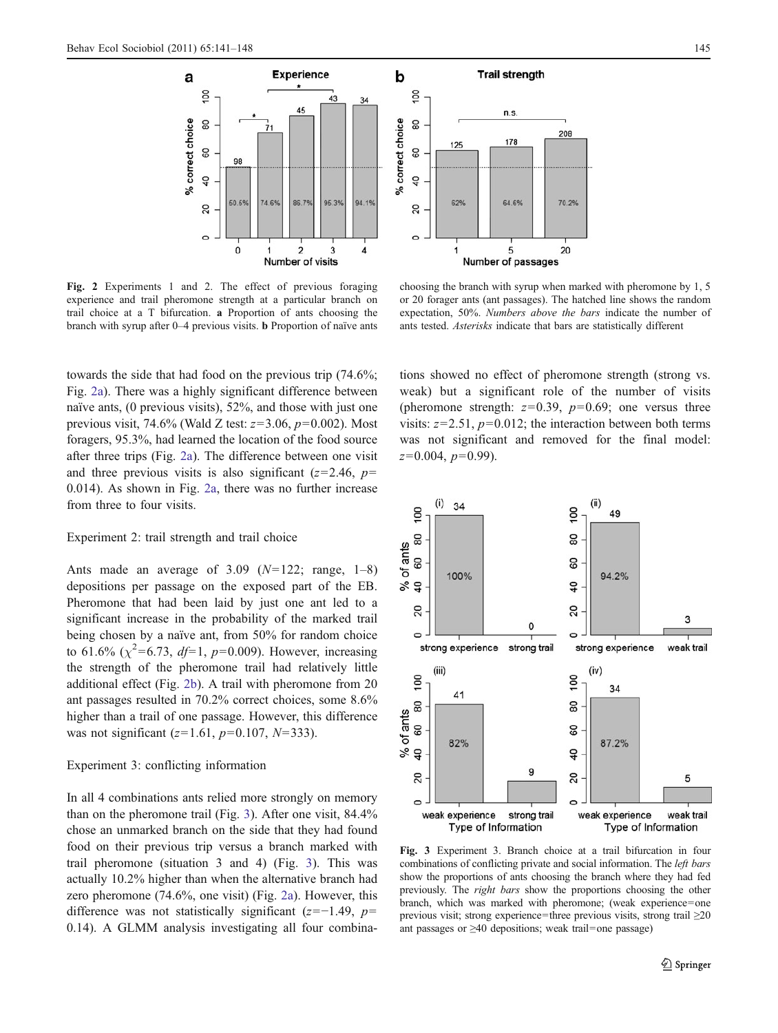<span id="page-4-0"></span>a

% correct choice



Fig. 2 Experiments 1 and 2. The effect of previous foraging experience and trail pheromone strength at a particular branch on trail choice at a T bifurcation. a Proportion of ants choosing the branch with syrup after 0–4 previous visits. b Proportion of naïve ants

towards the side that had food on the previous trip (74.6%; Fig. 2a). There was a highly significant difference between naïve ants, (0 previous visits), 52%, and those with just one previous visit, 74.6% (Wald Z test:  $z=3.06$ ,  $p=0.002$ ). Most foragers, 95.3%, had learned the location of the food source after three trips (Fig. 2a). The difference between one visit and three previous visits is also significant ( $z=2.46$ ,  $p=$ 0.014). As shown in Fig. 2a, there was no further increase from three to four visits.

## Experiment 2: trail strength and trail choice

Ants made an average of  $3.09$  ( $N=122$ ; range,  $1-8$ ) depositions per passage on the exposed part of the EB. Pheromone that had been laid by just one ant led to a significant increase in the probability of the marked trail being chosen by a naïve ant, from 50% for random choice to 61.6% ( $\chi^2$ =6.73, *df*=1, *p*=0.009). However, increasing the strength of the pheromone trail had relatively little additional effect (Fig. 2b). A trail with pheromone from 20 ant passages resulted in 70.2% correct choices, some 8.6% higher than a trail of one passage. However, this difference was not significant ( $z=1.61$ ,  $p=0.107$ ,  $N=333$ ).

#### Experiment 3: conflicting information

In all 4 combinations ants relied more strongly on memory than on the pheromone trail (Fig. 3). After one visit, 84.4% chose an unmarked branch on the side that they had found food on their previous trip versus a branch marked with trail pheromone (situation 3 and 4) (Fig. 3). This was actually 10.2% higher than when the alternative branch had zero pheromone (74.6%, one visit) (Fig. 2a). However, this difference was not statistically significant ( $z=-1.49$ ,  $p=$ 0.14). A GLMM analysis investigating all four combina-

choosing the branch with syrup when marked with pheromone by 1, 5 or 20 forager ants (ant passages). The hatched line shows the random expectation, 50%. Numbers above the bars indicate the number of ants tested. Asterisks indicate that bars are statistically different

tions showed no effect of pheromone strength (strong vs. weak) but a significant role of the number of visits (pheromone strength:  $z=0.39$ ,  $p=0.69$ ; one versus three visits:  $z=2.51$ ,  $p=0.012$ ; the interaction between both terms was not significant and removed for the final model:  $z=0.004, p=0.99$ ).



Fig. 3 Experiment 3. Branch choice at a trail bifurcation in four combinations of conflicting private and social information. The left bars show the proportions of ants choosing the branch where they had fed previously. The right bars show the proportions choosing the other branch, which was marked with pheromone; (weak experience=one previous visit; strong experience=three previous visits, strong trail  $\geq 20$ ant passages or ≥40 depositions; weak trail=one passage)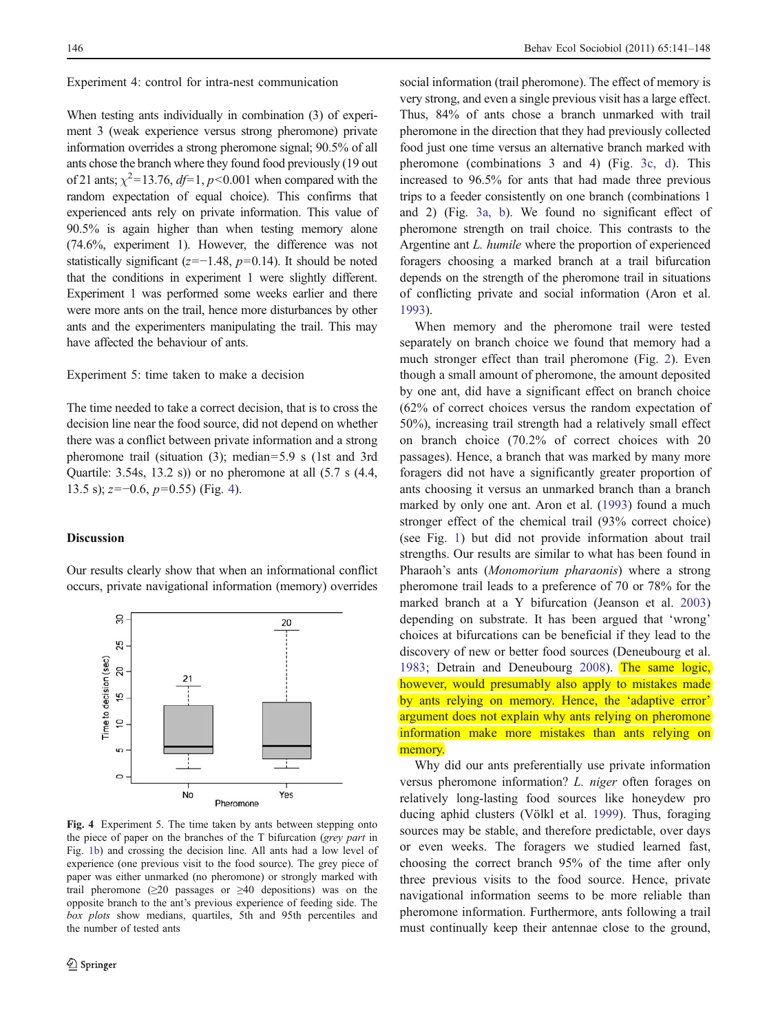#### Experiment 4: control for intra-nest communication

When testing ants individually in combination (3) of experiment 3 (weak experience versus strong pheromone) private information overrides a strong pheromone signal; 90.5% of all ants chose the branch where they found food previously (19 out of 21 ants;  $\chi^2$ =13.76,  $df$ =1,  $p$ <0.001 when compared with the random expectation of equal choice). This confirms that experienced ants rely on private information. This value of 90.5% is again higher than when testing memory alone (74.6%, experiment 1). However, the difference was not statistically significant ( $z=-1.48$ ,  $p=0.14$ ). It should be noted that the conditions in experiment 1 were slightly different. Experiment 1 was performed some weeks earlier and there were more ants on the trail, hence more disturbances by other ants and the experimenters manipulating the trail. This may have affected the behaviour of ants.

# Experiment 5: time taken to make a decision

The time needed to take a correct decision, that is to cross the decision line near the food source, did not depend on whether there was a conflict between private information and a strong pheromone trail (situation (3); median=5.9 s (1st and 3rd Quartile: 3.54s, 13.2 s)) or no pheromone at all (5.7 s (4.4, 13.5 s);  $z=-0.6$ ,  $p=0.55$ ) (Fig. 4).

#### **Discussion**

Our results clearly show that when an informational conflict occurs, private navigational information (memory) overrides



Fig. 4 Experiment 5. The time taken by ants between stepping onto the piece of paper on the branches of the T bifurcation (grey part in Fig. [1b](#page-2-0)) and crossing the decision line. All ants had a low level of experience (one previous visit to the food source). The grey piece of paper was either unmarked (no pheromone) or strongly marked with trail pheromone (≥20 passages or ≥40 depositions) was on the opposite branch to the ant's previous experience of feeding side. The box plots show medians, quartiles, 5th and 95th percentiles and the number of tested ants

social information (trail pheromone). The effect of memory is very strong, and even a single previous visit has a large effect. Thus, 84% of ants chose a branch unmarked with trail pheromone in the direction that they had previously collected food just one time versus an alternative branch marked with pheromone (combinations 3 and 4) (Fig. [3c, d](#page-4-0)). This increased to 96.5% for ants that had made three previous trips to a feeder consistently on one branch (combinations 1 and 2) (Fig. [3a, b](#page-4-0)). We found no significant effect of pheromone strength on trail choice. This contrasts to the Argentine ant L. humile where the proportion of experienced foragers choosing a marked branch at a trail bifurcation depends on the strength of the pheromone trail in situations of conflicting private and social information (Aron et al. [1993\)](#page-6-0).

When memory and the pheromone trail were tested separately on branch choice we found that memory had a much stronger effect than trail pheromone (Fig. [2\)](#page-4-0). Even though a small amount of pheromone, the amount deposited by one ant, did have a significant effect on branch choice (62% of correct choices versus the random expectation of 50%), increasing trail strength had a relatively small effect on branch choice (70.2% of correct choices with 20 passages). Hence, a branch that was marked by many more foragers did not have a significantly greater proportion of ants choosing it versus an unmarked branch than a branch marked by only one ant. Aron et al. ([1993\)](#page-6-0) found a much stronger effect of the chemical trail (93% correct choice) (see Fig. [1\)](#page-2-0) but did not provide information about trail strengths. Our results are similar to what has been found in Pharaoh's ants (Monomorium pharaonis) where a strong pheromone trail leads to a preference of 70 or 78% for the marked branch at a Y bifurcation (Jeanson et al. [2003](#page-7-0)) depending on substrate. It has been argued that 'wrong' choices at bifurcations can be beneficial if they lead to the discovery of new or better food sources (Deneubourg et al. [1983](#page-7-0); Detrain and Deneubourg [2008\)](#page-7-0). The same logic, however, would presumably also apply to mistakes made by ants relying on memory. Hence, the 'adaptive error' argument does not explain why ants relying on pheromone information make more mistakes than ants relying on memory.

Why did our ants preferentially use private information versus pheromone information? L. niger often forages on relatively long-lasting food sources like honeydew pro ducing aphid clusters (Völkl et al. [1999\)](#page-7-0). Thus, foraging sources may be stable, and therefore predictable, over days or even weeks. The foragers we studied learned fast, choosing the correct branch 95% of the time after only three previous visits to the food source. Hence, private navigational information seems to be more reliable than pheromone information. Furthermore, ants following a trail must continually keep their antennae close to the ground,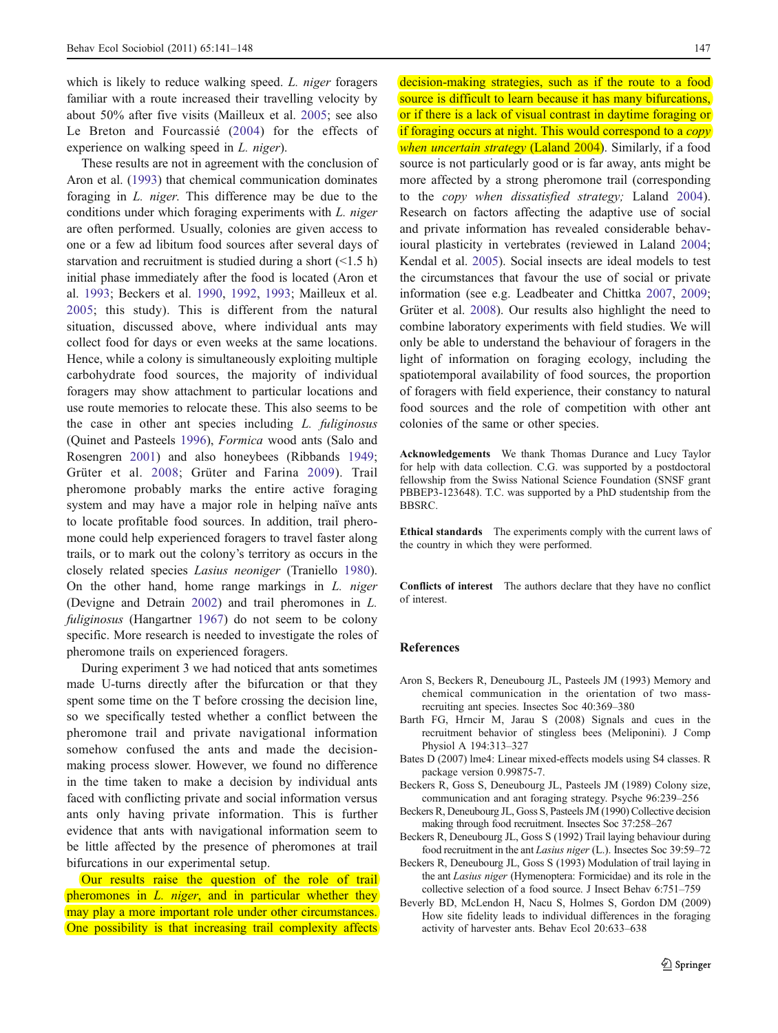<span id="page-6-0"></span>which is likely to reduce walking speed. L. niger foragers familiar with a route increased their travelling velocity by about 50% after five visits (Mailleux et al. [2005](#page-7-0); see also Le Breton and Fourcassié [\(2004](#page-7-0)) for the effects of experience on walking speed in L. niger).

These results are not in agreement with the conclusion of Aron et al. (1993) that chemical communication dominates foraging in L. niger. This difference may be due to the conditions under which foraging experiments with L. niger are often performed. Usually, colonies are given access to one or a few ad libitum food sources after several days of starvation and recruitment is studied during a short  $(\leq 1.5 h)$ initial phase immediately after the food is located (Aron et al. 1993; Beckers et al. 1990, 1992, 1993; Mailleux et al. [2005;](#page-7-0) this study). This is different from the natural situation, discussed above, where individual ants may collect food for days or even weeks at the same locations. Hence, while a colony is simultaneously exploiting multiple carbohydrate food sources, the majority of individual foragers may show attachment to particular locations and use route memories to relocate these. This also seems to be the case in other ant species including L. fuliginosus (Quinet and Pasteels [1996](#page-7-0)), Formica wood ants (Salo and Rosengren [2001\)](#page-7-0) and also honeybees (Ribbands [1949](#page-7-0); Grüter et al. [2008](#page-7-0); Grüter and Farina [2009\)](#page-7-0). Trail pheromone probably marks the entire active foraging system and may have a major role in helping naïve ants to locate profitable food sources. In addition, trail pheromone could help experienced foragers to travel faster along trails, or to mark out the colony's territory as occurs in the closely related species Lasius neoniger (Traniello [1980](#page-7-0)). On the other hand, home range markings in L. niger (Devigne and Detrain [2002\)](#page-7-0) and trail pheromones in L. fuliginosus (Hangartner [1967](#page-7-0)) do not seem to be colony specific. More research is needed to investigate the roles of pheromone trails on experienced foragers.

During experiment 3 we had noticed that ants sometimes made U-turns directly after the bifurcation or that they spent some time on the T before crossing the decision line, so we specifically tested whether a conflict between the pheromone trail and private navigational information somehow confused the ants and made the decisionmaking process slower. However, we found no difference in the time taken to make a decision by individual ants faced with conflicting private and social information versus ants only having private information. This is further evidence that ants with navigational information seem to be little affected by the presence of pheromones at trail bifurcations in our experimental setup.

Our results raise the question of the role of trail pheromones in *L. niger*, and in particular whether they may play a more important role under other circumstances. One possibility is that increasing trail complexity affects

decision-making strategies, such as if the route to a food source is difficult to learn because it has many bifurcations, or if there is a lack of visual contrast in daytime foraging or if foraging occurs at night. This would correspond to a *copy* when uncertain strategy (Laland [2004\)](#page-7-0). Similarly, if a food source is not particularly good or is far away, ants might be more affected by a strong pheromone trail (corresponding to the copy when dissatisfied strategy; Laland [2004](#page-7-0)). Research on factors affecting the adaptive use of social and private information has revealed considerable behavioural plasticity in vertebrates (reviewed in Laland [2004;](#page-7-0) Kendal et al. [2005\)](#page-7-0). Social insects are ideal models to test the circumstances that favour the use of social or private information (see e.g. Leadbeater and Chittka [2007,](#page-7-0) [2009;](#page-7-0) Grüter et al. [2008](#page-7-0)). Our results also highlight the need to combine laboratory experiments with field studies. We will only be able to understand the behaviour of foragers in the light of information on foraging ecology, including the spatiotemporal availability of food sources, the proportion of foragers with field experience, their constancy to natural food sources and the role of competition with other ant colonies of the same or other species.

Acknowledgements We thank Thomas Durance and Lucy Taylor for help with data collection. C.G. was supported by a postdoctoral fellowship from the Swiss National Science Foundation (SNSF grant PBBEP3-123648). T.C. was supported by a PhD studentship from the BBSRC.

Ethical standards The experiments comply with the current laws of the country in which they were performed.

Conflicts of interest The authors declare that they have no conflict of interest.

# References

- Aron S, Beckers R, Deneubourg JL, Pasteels JM (1993) Memory and chemical communication in the orientation of two massrecruiting ant species. Insectes Soc 40:369–380
- Barth FG, Hrncir M, Jarau S (2008) Signals and cues in the recruitment behavior of stingless bees (Meliponini). J Comp Physiol A 194:313–327
- Bates D (2007) lme4: Linear mixed-effects models using S4 classes. R package version 0.99875-7.
- Beckers R, Goss S, Deneubourg JL, Pasteels JM (1989) Colony size, communication and ant foraging strategy. Psyche 96:239–256
- Beckers R, Deneubourg JL, Goss S, Pasteels JM (1990) Collective decision making through food recruitment. Insectes Soc 37:258–267
- Beckers R, Deneubourg JL, Goss S (1992) Trail laying behaviour during food recruitment in the ant Lasius niger (L.). Insectes Soc 39:59–72
- Beckers R, Deneubourg JL, Goss S (1993) Modulation of trail laying in the ant Lasius niger (Hymenoptera: Formicidae) and its role in the collective selection of a food source. J Insect Behav 6:751–759
- Beverly BD, McLendon H, Nacu S, Holmes S, Gordon DM (2009) How site fidelity leads to individual differences in the foraging activity of harvester ants. Behav Ecol 20:633–638